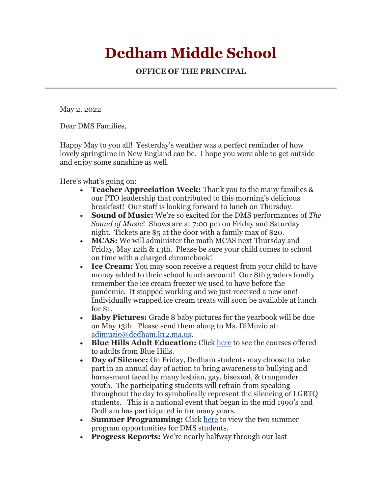## **Dedham Middle School**

**OFFICE OF THE PRINCIPAL**

May 2, 2022

Dear DMS Families,

Happy May to you all! Yesterday's weather was a perfect reminder of how lovely springtime in New England can be. I hope you were able to get outside and enjoy some sunshine as well.

Here's what's going on:

- **Teacher Appreciation Week:** Thank you to the many families & our PTO leadership that contributed to this morning's delicious breakfast! Our staff is looking forward to lunch on Thursday.
- **Sound of Music:** We're so excited for the DMS performances of *The Sound of Music*! Shows are at 7:00 pm on Friday and Saturday night. Tickets are \$5 at the door with a family max of \$20.
- **MCAS:** We will administer the math MCAS next Thursday and Friday, May 12th & 13th. Please be sure your child comes to school on time with a charged chromebook!
- **Ice Cream:** You may soon receive a request from your child to have money added to their school lunch account! Our 8th graders fondly remember the ice cream freezer we used to have before the pandemic. It stopped working and we just received a new one! Individually wrapped ice cream treats will soon be available at lunch for \$1.
- **Baby Pictures:** Grade 8 baby pictures for the yearbook will be due on May 13th. Please send them along to Ms. DiMuzio at: [adimuzio@dedham.k12.ma.us.](mailto:adimuzio@dedham.k12.ma.us)
- **Blue Hills Adult Education:** Click [here](https://mailchi.mp/38bb3bb28c3f/learn-more-about-our-free-adult-education-classes-5818734?e=8a6c711ff5) to see the courses offered to adults from Blue Hills.
- **Day of Silence:** On Friday, Dedham students may choose to take part in an annual day of action to bring awareness to bullying and harassment faced by many lesbian, gay, bisexual, & trangender youth. The participating students will refrain from speaking throughout the day to symbolically represent the silencing of LGBTQ students. This is a national event that began in the mid 1990's and Dedham has participated in for many years.
- **Summer Programming:** Click [here](https://www.dedham.k12.ma.us/domain/669) to view the two summer program opportunities for DMS students.
- **Progress Reports:** We're nearly halfway through our last